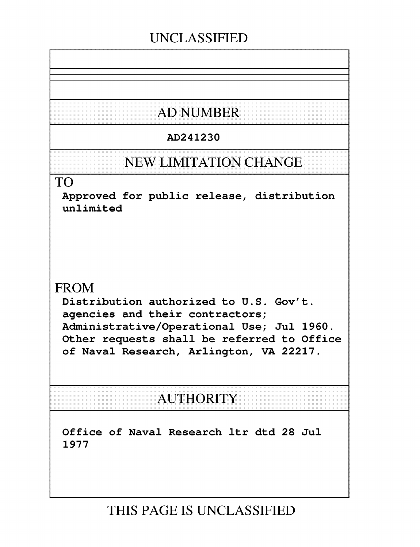#### **UNCLASSIFIED**

## **AD NUMBER**

#### AD241230

#### **NEW LIMITATION CHANGE**

#### TO

Approved for public release, distribution unlimited

#### FROM

Distribution authorized to U.S. Gov't. agencies and their contractors; Administrative/Operational Use; Jul 1960. Other requests shall be referred to Office of Naval Research, Arlington, VA 22217.

#### **AUTHORITY**

Office of Naval Research ltr dtd 28 Jul 1977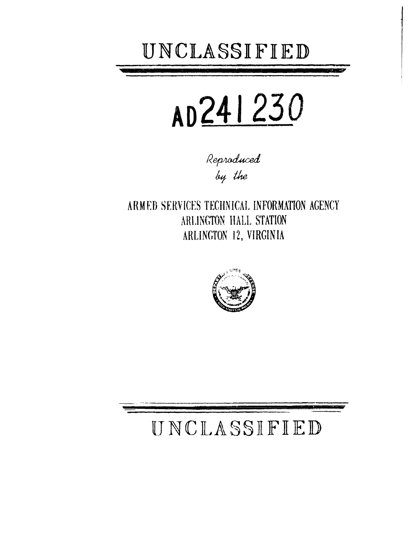

# AD241230

Reproduced by the

ARMED SERVICES TECHNICAL INFORMATION AGENCY ARLINGTON HALL STATION ARLINGTON 12, VIRGINIA



## UNCLASSIFIED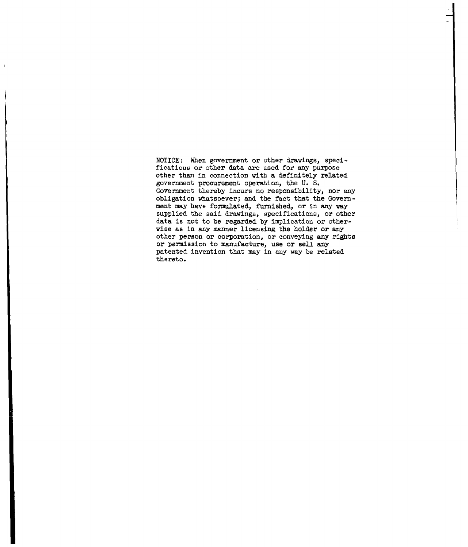NOTICE: When government or other drawings, specifications or other data are used for any purpose other than in connection with a definitely related government procurement operation, the U. S. Government thereby incurs no responsibility, nor any obligation whatsoever; and the fact that the Government may have formulated, furnished, or in any way supplied the said drawings, specifications, or other data is not to be regarded by implication or otherwise as in any manner licensing the holder or any other person or corporation, or conveying any rights or permission to manufacture, use or sell any patented invention that may in any way be related thereto.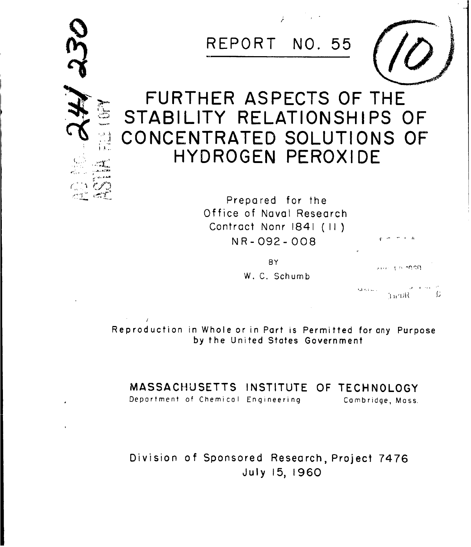

Reproduction in Whole or in Part is Permitted for any Purpose by the United States Government

**MASSACHUSETTS INSTITUTE** OF **TECHNOLOGY**

Deportment of Chemical Engineering Cambridge, Mass.

Division of Sponsored Research, Project 7476 July 15, 1960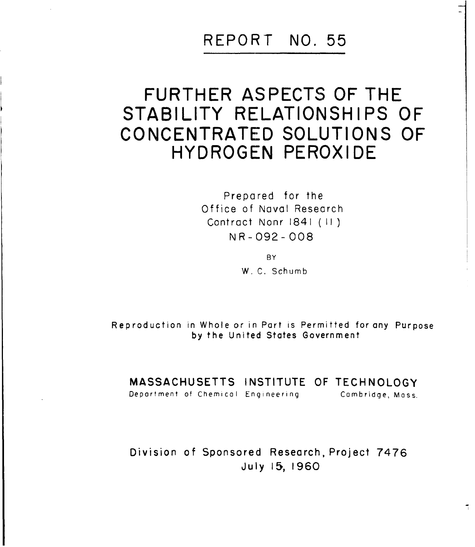#### REPORT **NO. 55**

## FURTHER **ASPECTS** OF THE STABILITY **RELATIONSHIPS** OF **CONCENTRATED SOLUTIONS** OF HYDROGEN PEROXIDE

Prepared for the Office of Naval Research Contract Nonr 1841 ( II) NR-092- 008

> **BY** W. C. Schumb

Reproduction in Whole or in Part is Permitted for any Purpose by the United States Government

MASSACHUSETTS INSTITUTE OF TECHNOLOGY

Deportment of Chemical Engineering Cambridge, Mass.

Division of Sponsored Research, Project 7476 July **15,** 1960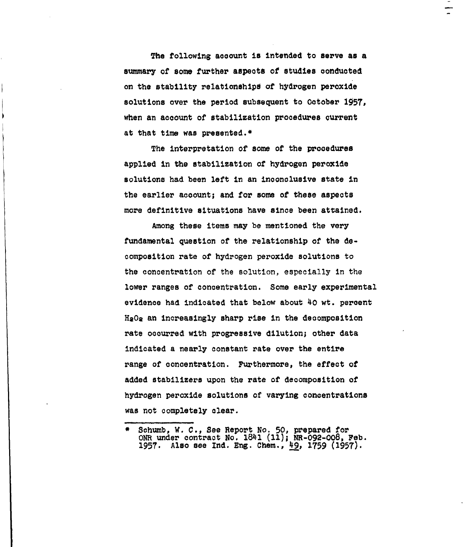The following account is intended to serve as a summary of some further aspects of studies conducted on the stability relationships of hydrogen peroxide solutions over the period subsequent to October 1957, when an account of stabilization procedures current at that time was presented.\*

The interpretation of some of the procedures applied in the stabilization of hydrogen peroxide solutions had been left in an inconclusive state In the earlier account; and for some of these aspects more definitive situations have since been attained.

Among these items may be mentioned the very fundamental question of the relationship of the decomposition rate of hydrogen peroxide solutions to the concentration of the solution, especially in the lower ranges of concentration. Some early experimental evidence had indicated that below about 40 wt. percent HaOa an increasingly sharp rise in the decomposition rate occurred with progressive dilution; other data indicated a nearly constant rate over the entire range of concentration. Furthermore, the effect of added stabilizers upon the rate of decomposition of hydrogen peroxide solutions of varying concentrations was not completely clear.

<sup>\*</sup> Schumb, *W. C.,* See Report No. 50, prepared for ONR under contract No. 184• **(11);** NR-092-008, Feb. 1957. Also see Ind. Eng. Chem., 49, 1759 (1957)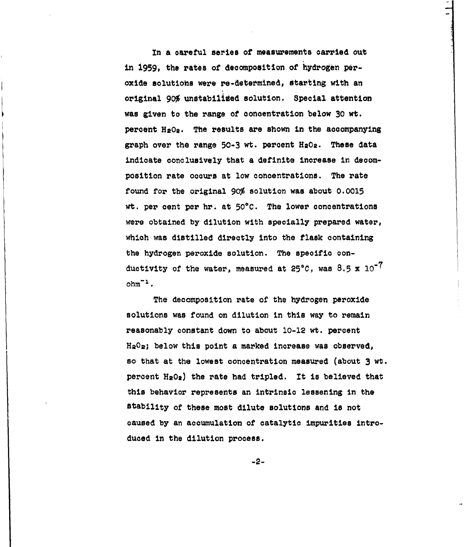In a careful series of measurements carried out in 1959, the rates of decomposition of hydrogen peroxide solutions were re-determined, starting with an original **90%** unstabilied solution. Special attention was given to the range of concentration below 30 wt. percent  $HeO<sub>2</sub>$ . The results are shown in the accompanying graph over the range 50-3 wt. percent H202. These data indicate conclusively that a definite increase in decomposition rate occurs at low concentrations. The rate found for the original **90%** solution was about 0.0015 wt. per cent per hr. at 50\*C. The lower concentrations were obtained by dilution with specially prepared water, which was distilled directly into the flask containing the hydrogen peroxide solution. The specific conductivity of the water, measured at **25\*C,** was 8.5 **x 10-7**  $ohm^{-1}$ .

The decomposition rate of the hydrogen peroxide solutions was found on dilution in this way to remain reasonably constant down to about 10-12 wt. percent  $H_2O_2$ ; below this point a marked increase was observed, so that at the lowest concentration measured (about 3 wt. percent H2Oa) the rate had tripled. It is believed that this behavior represents an intrinsic lessening in the stability of these most dilute solutions and is not caused by an accumulation of catalytic impurities introduced in the dilution process.

-2-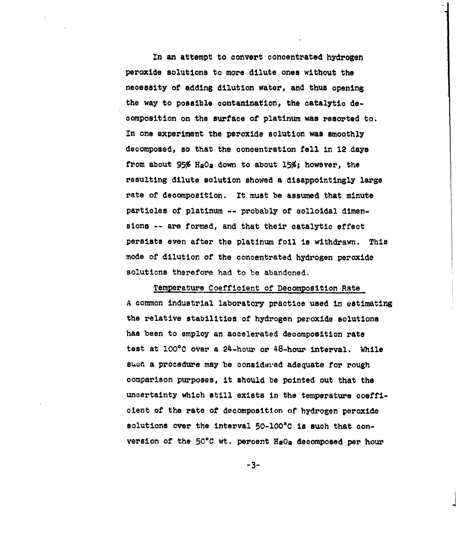In an attempt to convert concentrated hydrogen peroxide solutions to more dilute ones without the necessity of adding dilution Water, and thus opening the way to possible contamination, the catalytic decomposition on the surface of platinum was resorted to. In one experiment the peroxide solution was smoothly decomposed, so that the concentration fell in 12 days from about **95%** H20a down to about **15%;** however, the resulting dilute solution showed a disappointingly large rate of decomposition. It must be assumed that minute particles of platinum -- probably of colloidal dimensions -- are formed, and that their catalytic effect persists even after the platinum foil is withdrawn. This mode of dilution of the concentrated hydrogen peroxide solutions therefore had to be abandoned.

Temperature Coefficient of Decomposition Rate A common industrial laboratory practice used in estimating the relative stabilities of hydrogen peroxide solutions has been to employ an accelerated decomposition rate test at 100°C over a 24-hour or 48-hour interval. While suoh a procedure may be considered adequate for rough comparison purposes, it should be pointed out that the uncertainty which still exists in the temperature coefficient of the rate of decomposition of hydrogen peroxide solutions over the interval 50-100°C is such that conversion of the  $50^{\circ}$ C wt. percent H2O<sub>2</sub> decomposed per hour

"-3-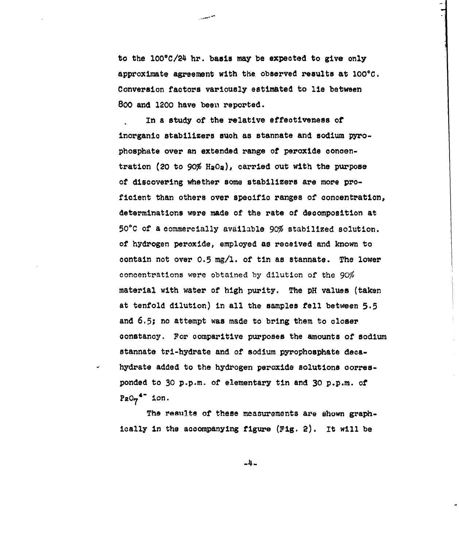to the 100°C/24 hr. basis may be expected to give only approximate agreement with the observed results at 100°C. Conversion factors variously estimated to lie between 800 and 1200 have been reported.

In a study of the relative effectiveness of inorganic stabilizers such as stannate and sodium pyrophosphate over an extended range of peroxide concentration (20 to **90%** H2Os), carried out with the purpose of discovering whether some stabilizers are more proficient than others over specific ranges of concentration, determinations were made of the rate of decomposition at <sup>50</sup> <sup>0</sup> C of a commercially available **90%** stabilized solution. of hydrogen peroxide, employed as received and known to contain not over 0.5 mg/l. of tin as stannate. The lower concentrations were obtained by dilution of the **90%** material with water of high purity. The pH values (taken at tenfold dilution) in all the samples fell between 5.5 and 6.5; no attempt was made to bring them to closer constancy. For comparitive purposes the amounts of sodium stannate tri-hydrate and of sodium pyrophosphate decahydrate added to the hydrogen peroxide solutions corresponded to 30 p.p.m. of elementary tin and 30 p.p.m. of  $PaO<sub>7</sub>$ <sup>4"</sup> ion.

The **reaults** of these measurements are shown graphically in the accompanying figure (Fig. 2). It will be

-4-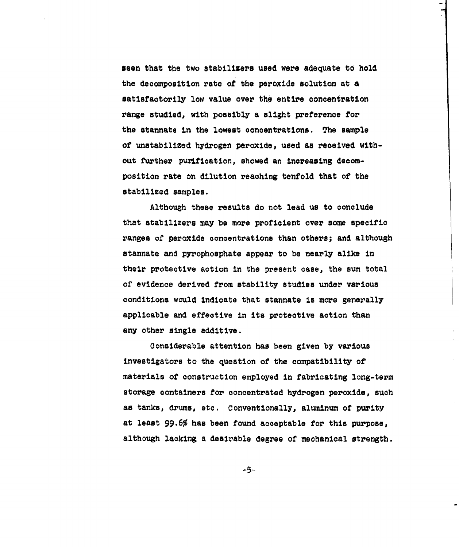seen that the two stabilizers used were adequate to hold the decomposition rate of the peroxide solution at a satisfactorily low value over the entire concentration range studied, with possibly a slight preference for the stannate in the lowest concentrations. The sample of unstabilized hydrogen peroxide, used as received without further purification, showed an increasing decomposition rate on dilution reaching tenfold that of the stabilized samples.

Although these results do not lead us to conclude that stabilizers may be more proficient over some specific ranges of peroxide concentrations than others; and although stannate and pyrophosphate appear to be nearly alike in their protective action in the present case, the sum total of evidence derived from stability studies under various conditions would indicate that stannate is more generally applicable and effective in its protective action than any other single additive.

Considerable attention has been given by various investigators to the question of the compatibility of materials of construction employed in fabricating long-term storage containers for concentrated hydrogen peroxide, such as tanks, drums, etc. Conventionally, aluminum of purity at least 99.6% has been found acceptable for this purpose, although lacking a desirable degree of mechanical strength.

 $-5-$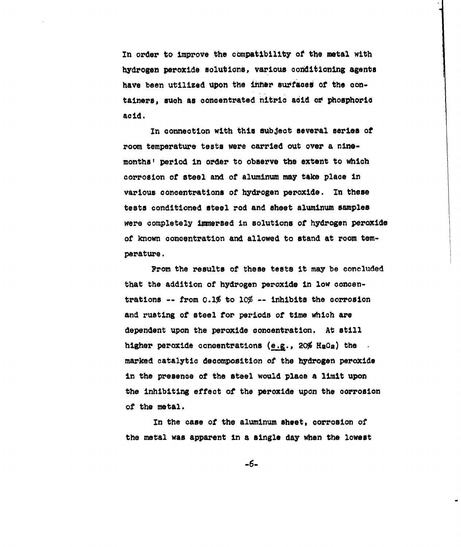In order to improve the compatibility of the metal with hydrogen peroxide solutions, various conditioning agents have been utilized upon the inner surfaces of the containers, such as concentrated nitric acid or phosphoric acid.

In connection with this subject several series of room temperature tests were carried out over a ninemonths' period in order to observe the extent to which corrosion of steel and of aluminum may take place in various concentrations of hydrogen peroxide. In these tests conditioned steel rod and sheet aluminum samples were completely Imiersed In solutions of hydrogen peroxide of known concentration and allowed to stand at room temperature.

From the results of these tests it may be concluded that the addition of hydrogen peroxide in low concentrations -- from 0.1% to **10%** -- inhibits the corrosion and rusting of steel for periods of time which are dependent upon the peroxide concentration. At still higher peroxide concentrations  $(e.g., 20\frac{g}{g} H_2O_g)$  the marked catalytic decomposition of the hydrogen peroxide in the presence of the steel would place a limit upon the inhibiting effect of the peroxide upon the corrosion of the metal.

In the case of the aluminum sheet, corrosion of the metal was apparent in a single day when the lowest

-6-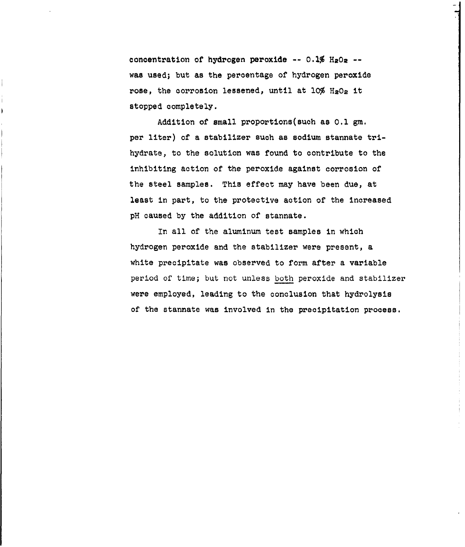concentration of hydrogen peroxide --  $0.1\%$  H<sub>2</sub>O<sub>2</sub> -was used; but as the percentage of hydrogen peroxide rose, the corrosion lessened, until at  $10\%$  H<sub>2</sub>O<sub>2</sub> it stopped completely.

Addition of small proportions(such as **0.1** gm. per liter) of a stabilizer such as sodium stannate trihydrate, to the solution was found to contribute to the inhibiting action of the peroxide against corrosion of the steel samples. This effect may have been due, at least in part, to the protective action of the increased pH caused by the addition of stannate.

In all of the aluminum test samples in which hydrogen peroxide and the stabilizer were present, a white precipitate was observed to form after a variable period of time; but not unless both peroxide and stabilizer were employed, leading to the conclusion that hydrolysis of the stannate was involved in the precipitation process.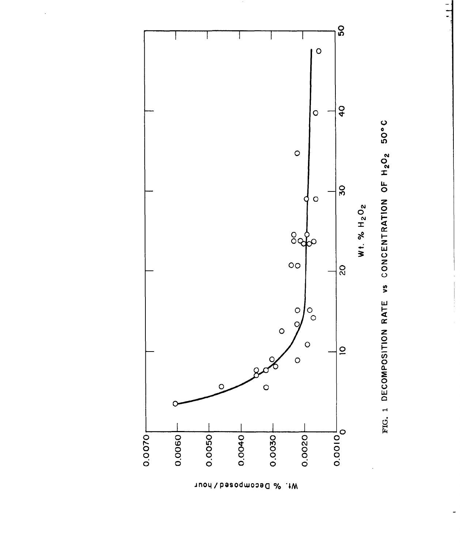

FIG. 1 DECOMPOSITION RATE VS CONCENTRATION OF H2O2 50°C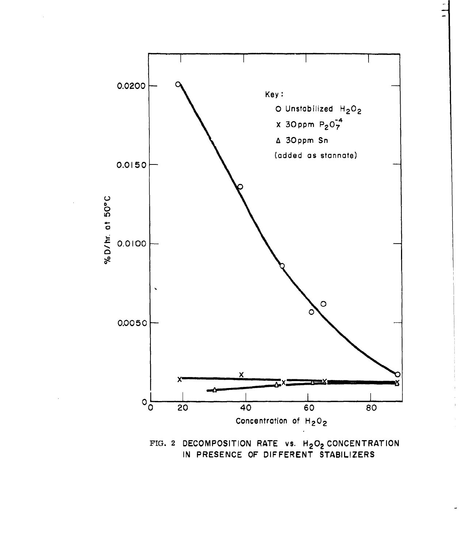

FIG. 2 DECOMPOSITION RATE vs. H<sub>2</sub>O<sub>2</sub> CONCENTRATION IN PRESENCE OF DIFFERENT STABILIZERS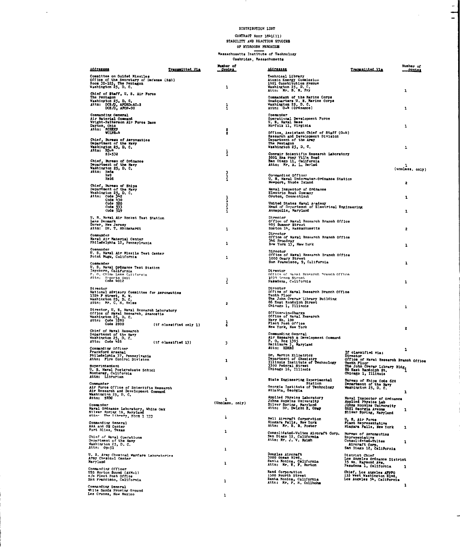#### DISTRIBUTION LIST

 $\frac{1}{\sqrt{2}}$ 

ب

 $\sim$ 

 $\sim$   $\sim$ 

CONTRACT Nonr 1841(11)<br>STABILITY AND REACTION STUDIES<br>OF KYDROGEN PEROXIUE

Massachusstts Institute of Technology<br>Cambridge, Massachusetts

| Addressee                                                                                                                                       | Transmitted Via            | Wamber of<br><u>. Comer .</u> | Addressee                                                                                                                                   | Transmitted Via                                                                         | Number of<br><b>SORICE</b> |
|-------------------------------------------------------------------------------------------------------------------------------------------------|----------------------------|-------------------------------|---------------------------------------------------------------------------------------------------------------------------------------------|-----------------------------------------------------------------------------------------|----------------------------|
| Committee on Guided Missiles<br>commutes on our<br>contract the Beoretary of Defense (R&D)<br>Room 3D-125, The Pentagon<br>Weshington 25, D. C. |                            |                               | Technical Library<br>Atomic Energy Commission<br>1901 Constitution Avenue                                                                   |                                                                                         |                            |
| Chief of Staff, U. S. Air Force                                                                                                                 |                            | 1                             | Washington 25, D.C.<br>Attn: Mr. B. M. Fry                                                                                                  |                                                                                         | ı                          |
| The Pentagon<br>Washington 25, D. C.<br>Attn: DCS/D., APDRD-AC-2<br>DCS/D., APOP-00                                                             |                            | ł                             | Commandant of the Marine Corps<br>Headquarters U. S. Marine Corps<br>Washington 25, D. C.<br>Attn: G-4 (Ordnance)                           |                                                                                         | ı                          |
| Commanding General<br>Air Naterial Command<br>Wright-Patterson Air Force Base                                                                   |                            |                               | Commander<br>Operational Development Force<br>U. S. Naval Base<br>Norfolk 11, Virginia                                                      |                                                                                         | 1                          |
| Dayton, Ohio<br>Attn: MCREXP<br><b>WCLPR-4</b>                                                                                                  |                            | 2<br>2                        | Office, Assistant Chief of Staff (G-4)<br>Research and Development Division                                                                 |                                                                                         |                            |
| Chief, Bureau of Aeronautics<br>Department of the Navy<br>Vashington 25, D. C.                                                                  |                            |                               | Department of the Army<br>The Pentagon<br>Washington 25, D.C.                                                                               |                                                                                         | 1                          |
| Attn: RD-4<br>SI-532                                                                                                                            |                            | $\frac{1}{1}$                 | Convair Scientific Research Laboratory<br>5001 Kea rney Villa Road<br>San Diego 11, California                                              |                                                                                         |                            |
| Chief, Bureau of Ordnance<br>Department of the Navy<br>Washington 25, D. C.                                                                     |                            |                               | Attn; Mr. A. L. Berlad                                                                                                                      |                                                                                         | (unclass, only)            |
| Attn: Reda<br>lie?<br>Re24                                                                                                                      |                            | 3<br>į                        | Commanding Officer<br>U. S. Naval Underwater-Ordnance Station                                                                               |                                                                                         |                            |
| Chief, Bureau of Ships<br>Department of the Navy                                                                                                |                            |                               | Newport, Rhode Island<br>Naval Inspector of Ordnance                                                                                        |                                                                                         | 2                          |
| Washington 25, D.C.<br>Attn: Code 342<br>Code 430                                                                                               |                            |                               | Electric Boat Company<br>Groton, Connecticut                                                                                                |                                                                                         | 1                          |
| Code 520<br>Code 533                                                                                                                            |                            | $\frac{1}{1}$                 | United States Naval A-ademy<br>Head of Department of Electrical Engineering                                                                 |                                                                                         |                            |
| Code 519                                                                                                                                        |                            | $\frac{1}{1}$                 | Annapolis, Maryland                                                                                                                         |                                                                                         | 1                          |
| U. S. Naval Air Rooket Test Station<br>Lake Demmark<br>Dover, New Jersey<br>Attn: Dr. T. Rhinehardt                                             |                            | 1                             | Director<br>Office of Naval Research Branch Office<br>495 Summer Street<br>Hoston 14, Massachusetts                                         |                                                                                         | 2                          |
| Commander<br>Naval Air Material Center<br>Philadelphia 12, Pennsylvania                                                                         |                            | ı                             | Director<br>Office of Naval Research Branch Office<br>346 Broadway<br>New York 13, New York                                                 |                                                                                         | ı                          |
| Comander<br>U. S. Naval Air Missile Test Center<br>Point Mugu, California                                                                       |                            | 1                             | Director<br>Office of Naval Research Branch Office<br>1000 Geary Street                                                                     |                                                                                         |                            |
| <b>Connander</b><br>U. S. Naval Ordnance Test Station                                                                                           |                            |                               | San Francisco, 9, California                                                                                                                |                                                                                         | ı                          |
| Inyokern, California<br>P. O. China Lake California<br>Attn: Reports Unit<br>Code 4012                                                          |                            | $\frac{1}{1}$                 | <b>Director</b><br>Office of Suval Research Branch Office<br>1030 Groen Street<br>Pasadena, California                                      |                                                                                         | 1                          |
| Director                                                                                                                                        |                            |                               | Director<br>Office of Naval Research Branch Office                                                                                          |                                                                                         |                            |
| Nitional Advisory Committee for Aeronautics<br>1724 F Street, N. W.<br>Washington 25, D. C.<br>Attn: Mr. C. H. Helms                            |                            | 2                             | Tenth Floor<br>The John Crerar Library Building<br>86 East Randolph Street<br>Chicago 1, Jilinois                                           |                                                                                         |                            |
| Director, U. S. Naval Research Laboratory<br>Office of Naval Research, Anacostia                                                                |                            |                               | Officer-in-Charge                                                                                                                           |                                                                                         | 1                          |
| Washington 25, D.C.<br>Attn: Code 3280<br>Code 2000                                                                                             | $(1f$ classified only $1)$ | ţ                             | Office of Naval Research<br>Navy No. 100<br>Plact Post Office<br>Mew York, New York                                                         |                                                                                         | 2                          |
| Chief of Naval Research<br>Department of the Navy<br>Weshington 25, D.C.<br>Attn: Code 426                                                      | (if classified 13)         | 3                             | Commanding General<br>Air Research & Development Command<br>R. O. Box 1995<br>Raltimore 3, Maryland<br>Raltimore 3, Maryland<br>Attn: RDRRC |                                                                                         |                            |
| Commanding Officer<br>Prankford Arsenal                                                                                                         |                            |                               |                                                                                                                                             |                                                                                         | 1                          |
| Philadelphia 37, Pennsylvania<br>Attn: Fire Control Division                                                                                    |                            | 1                             | Dr. Martin Kilpatrick<br>Department of Chemistry<br>Illinois Institute of Technology                                                        | If classified via:<br>Director<br>Office of Naval Research Branch Office<br>Tenth Floor |                            |
| Superintendent<br>U. S. Naval Postgraduate School<br>Monterey, California                                                                       |                            |                               | 3300 Federal Street<br>Chicago 16, Illinois                                                                                                 | The John Crerar Library Bldg.<br>Chicago 1, Illinois                                    |                            |
| Commander                                                                                                                                       |                            | 1                             | State Engineering Experimental<br><b>Station</b>                                                                                            | Bureau of Ships Code 620<br>Department of the Navy<br>Washington 25, D.C.               |                            |
| Air Force Office of Scientific Research<br>Air Research and Development Command                                                                 |                            |                               | Georgia Institute of Technology<br>Atlanta, Georgia                                                                                         |                                                                                         | 1                          |
| Washington 25, D. C.<br>Attn: SRDC                                                                                                              |                            | 1<br>(Unclass. only)          | Applied Physics Laboratory<br>Johne Hopkins University<br>Silver Spring, Maryler                                                            | Maval Inspector of Ordnance<br>Applied Physics Lab                                      |                            |
| Naval Ordnance Leboratory, White Oak<br>Silver Spring 19, Maryland<br>Attn: The Library, Hoom 1-333                                             |                            |                               | Attn: Dr. Dwight E. Gray                                                                                                                    | ms Hopkins University<br>8621 Georgia Avenue<br>Silver Spring, Maryland                 | 1                          |
| Commanding General<br>AAA and OM Center                                                                                                         |                            | ÷                             | Bell Aircraft Corporation<br>Niagara Falls, New York<br>Attn: Mr. R. B. Poster                                                              | U. S. Air Porce<br>Plant Representative<br>Niagara Falls, New York                      | 1                          |
| Fort Bliss, Texas<br>Chief of Naval Operations                                                                                                  |                            | 1                             | Consolidated-Vultes Airoraft Corp.                                                                                                          | Bursau of Aeronauties<br>Representative                                                 |                            |
| Department of the Navy<br>Vashington 25, D. C.<br>Attn: $0p-51$                                                                                 |                            | ı                             | San Diego 12, California<br>Attn: Nr. J. V. Naimh                                                                                           | Consolideted=Vultee<br>Aircraft Corp.<br>San Diego 12, California                       | 1                          |
| U. S. Army Chemical Marfers Laboratories<br>Army Chemical Center                                                                                |                            |                               | Douglas Aircraft<br>3000 Ocean Blvd.                                                                                                        | District Chief<br>Los Angeles Ordnance District                                         |                            |
| Maryland<br>Commanding Officer                                                                                                                  |                            | ı                             | Santa Monica, California<br>Attn: Mr. E. P. Burton                                                                                          | 35 No. Raymond Ave.<br>Pasadena 1, California                                           |                            |
| USS Norton Sound (AVM-1)<br>o/o Plest Post Office<br>Sen Francisco, California                                                                  |                            | 1                             | Rand Corporation<br>1500 Fourth Street<br>Santa Monica, California<br>Attr: Mr. F. R. Collbohm                                              | Chief, Los Angeles AFPFO<br>155 West Washington Blvd.<br>Los Angeles 54, California     |                            |
| Commanding General<br>White Sands Proving Ground<br>Les Cruces, New Mexico                                                                      |                            | 1                             |                                                                                                                                             |                                                                                         | 1                          |